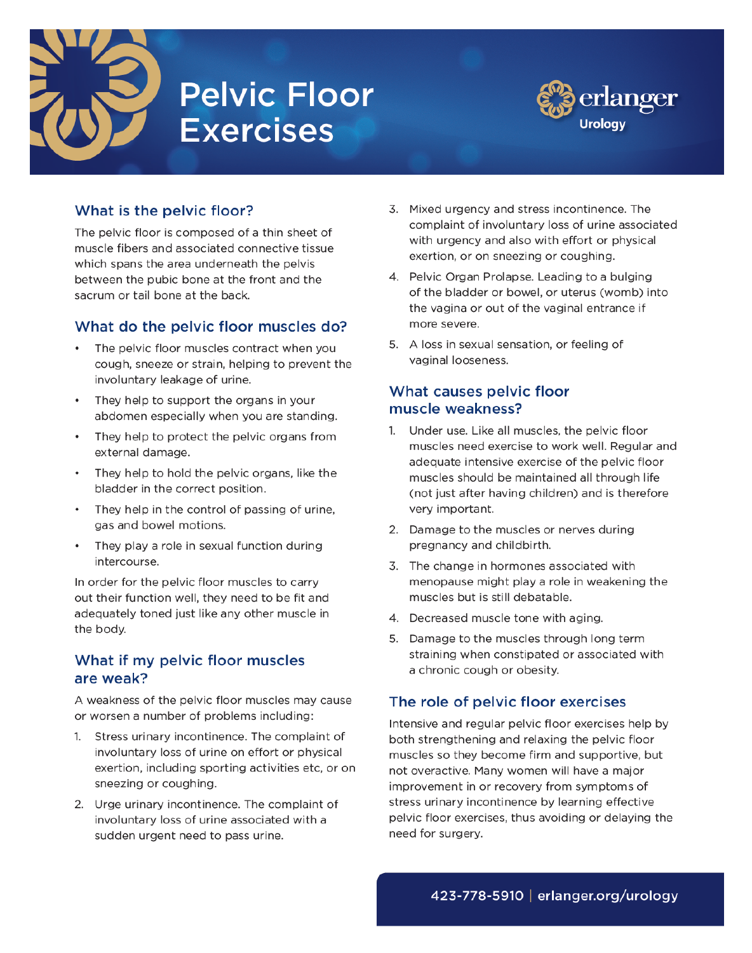

# **Pelvic Floor Exercises**



## What is the pelvic floor?

The pelvic floor is composed of a thin sheet of muscle fibers and associated connective tissue which spans the area underneath the pelvis between the pubic bone at the front and the sacrum or tail bone at the back.

## What do the pelvic floor muscles do?

- The pelvic floor muscles contract when you cough, sneeze or strain, helping to prevent the involuntary leakage of urine.
- They help to support the organs in your abdomen especially when you are standing.
- They help to protect the pelvic organs from external damage.
- They help to hold the pelvic organs, like the bladder in the correct position.
- They help in the control of passing of urine, gas and bowel motions.
- They play a role in sexual function during intercourse.

In order for the pelvic floor muscles to carry out their function well, they need to be fit and adequately toned just like any other muscle in the body.

## What if my pelvic floor muscles are weak?

A weakness of the pelvic floor muscles may cause or worsen a number of problems including:

- 1. Stress urinary incontinence. The complaint of involuntary loss of urine on effort or physical exertion, including sporting activities etc, or on sneezing or coughing.
- 2. Urge urinary incontinence. The complaint of involuntary loss of urine associated with a sudden urgent need to pass urine.
- 3. Mixed urgency and stress incontinence. The complaint of involuntary loss of urine associated with urgency and also with effort or physical exertion, or on sneezing or coughing.
- 4. Pelvic Organ Prolapse. Leading to a bulging of the bladder or bowel, or uterus (womb) into the vagina or out of the vaginal entrance if more severe.
- 5. A loss in sexual sensation, or feeling of vaginal looseness.

## What causes pelvic floor muscle weakness?

- 1. Under use, Like all muscles, the pelvic floor muscles need exercise to work well. Regular and adequate intensive exercise of the pelvic floor muscles should be maintained all through life (not just after having children) and is therefore very important.
- 2. Damage to the muscles or nerves during pregnancy and childbirth.
- 3. The change in hormones associated with menopause might play a role in weakening the muscles but is still debatable.
- 4. Decreased muscle tone with aging.
- 5. Damage to the muscles through long term straining when constipated or associated with a chronic cough or obesity.

# The role of pelvic floor exercises

Intensive and regular pelvic floor exercises help by both strengthening and relaxing the pelvic floor muscles so they become firm and supportive, but not overactive. Many women will have a major improvement in or recovery from symptoms of stress urinary incontinence by learning effective pelvic floor exercises, thus avoiding or delaying the need for surgery.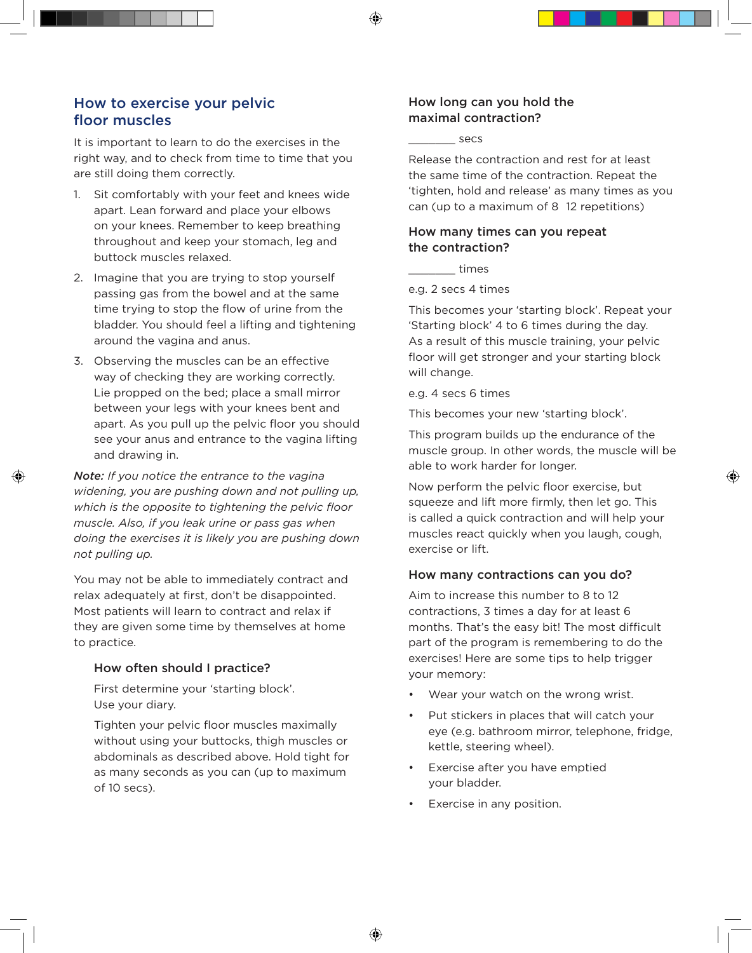## How to exercise your pelvic floor muscles

It is important to learn to do the exercises in the right way, and to check from time to time that you are still doing them correctly.

- 1. Sit comfortably with your feet and knees wide apart. Lean forward and place your elbows on your knees. Remember to keep breathing throughout and keep your stomach, leg and buttock muscles relaxed.
- 2. Imagine that you are trying to stop yourself passing gas from the bowel and at the same time trying to stop the flow of urine from the bladder. You should feel a lifting and tightening around the vagina and anus.
- 3. Observing the muscles can be an effective way of checking they are working correctly. Lie propped on the bed; place a small mirror between your legs with your knees bent and apart. As you pull up the pelvic floor you should see your anus and entrance to the vagina lifting and drawing in.

*Note: If you notice the entrance to the vagina widening, you are pushing down and not pulling up, which is the opposite to tightening the pelvic floor muscle. Also, if you leak urine or pass gas when doing the exercises it is likely you are pushing down not pulling up.* 

You may not be able to immediately contract and relax adequately at first, don't be disappointed. Most patients will learn to contract and relax if they are given some time by themselves at home to practice.

#### How often should I practice?

First determine your 'starting block'. Use your diary.

Tighten your pelvic floor muscles maximally without using your buttocks, thigh muscles or abdominals as described above. Hold tight for as many seconds as you can (up to maximum of 10 secs).

#### How long can you hold the maximal contraction?

\_\_\_\_\_\_\_ secs

Release the contraction and rest for at least the same time of the contraction. Repeat the 'tighten, hold and release' as many times as you can (up to a maximum of 8 12 repetitions)

### How many times can you repeat the contraction?

\_\_\_\_\_\_\_ times

e.g. 2 secs 4 times

This becomes your 'starting block'. Repeat your 'Starting block' 4 to 6 times during the day. As a result of this muscle training, your pelvic floor will get stronger and your starting block will change.

e.g. 4 secs 6 times

This becomes your new 'starting block'.

This program builds up the endurance of the muscle group. In other words, the muscle will be able to work harder for longer.

Now perform the pelvic floor exercise, but squeeze and lift more firmly, then let go. This is called a quick contraction and will help your muscles react quickly when you laugh, cough, exercise or lift.

### How many contractions can you do?

Aim to increase this number to 8 to 12 contractions, 3 times a day for at least 6 months. That's the easy bit! The most difficult part of the program is remembering to do the exercises! Here are some tips to help trigger your memory:

- Wear your watch on the wrong wrist.
- Put stickers in places that will catch your eye (e.g. bathroom mirror, telephone, fridge, kettle, steering wheel).
- Exercise after you have emptied your bladder.
- Exercise in any position.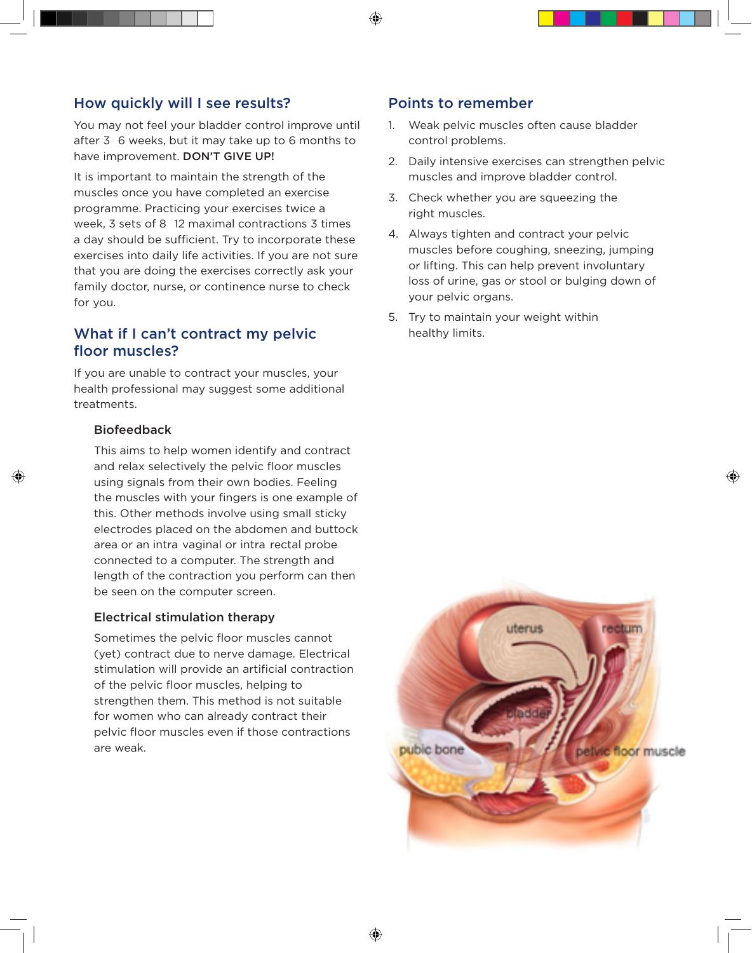## How quickly will I see results?

You may not feel your bladder control improve until after 3 6 weeks, but it may take up to 6 months to have improvement. DON'T GIVE UP!

It is important to maintain the strength of the muscles once you have completed an exercise programme. Practicing your exercises twice a week, 3 sets of 8 12 maximal contractions 3 times a day should be sufficient. Try to incorporate these exercises into daily life activities. If you are not sure that you are doing the exercises correctly ask your family doctor, nurse, or continence nurse to check for you.

## What if I can't contract my pelvic floor muscles?

If you are unable to contract your muscles, your health professional may suggest some additional treatments.

#### Biofeedback

This aims to help women identify and contract and relax selectively the pelvic floor muscles using signals from their own bodies. Feeling the muscles with your fingers is one example of this. Other methods involve using small sticky electrodes placed on the abdomen and buttock area or an intra vaginal or intra rectal probe connected to a computer. The strength and length of the contraction you perform can then be seen on the computer screen.

#### Electrical stimulation therapy

Sometimes the pelvic floor muscles cannot (yet) contract due to nerve damage. Electrical stimulation will provide an artificial contraction of the pelvic floor muscles, helping to strengthen them. This method is not suitable for women who can already contract their pelvic floor muscles even if those contractions are weak.

## Points to remember

- 1. Weak pelvic muscles often cause bladder control problems.
- 2. Daily intensive exercises can strengthen pelvic muscles and improve bladder control.
- 3. Check whether you are squeezing the right muscles.
- 4. Always tighten and contract your pelvic muscles before coughing, sneezing, jumping or lifting. This can help prevent involuntary loss of urine, gas or stool or bulging down of your pelvic organs.
- 5. Try to maintain your weight within healthy limits.